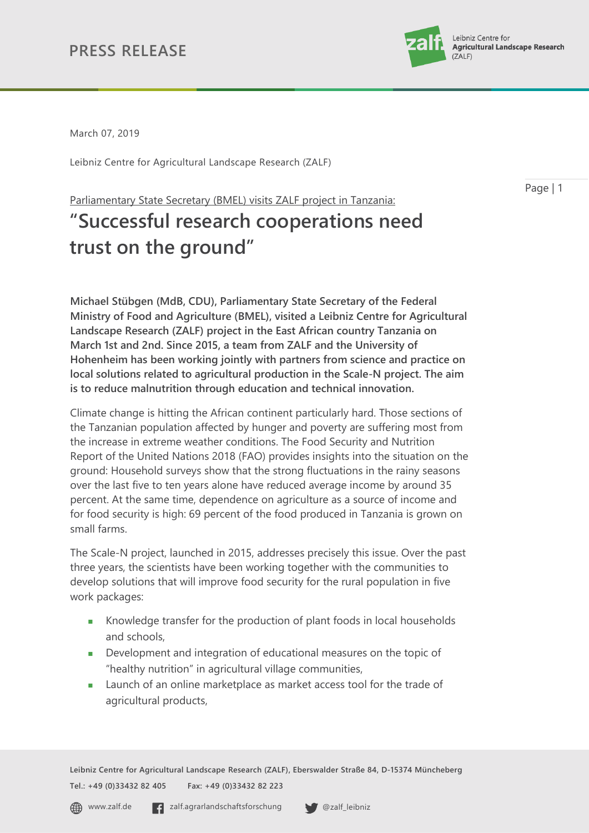

Page | 1

March 07, 2019

Leibniz Centre for Agricultural Landscape Research (ZALF)

Parliamentary State Secretary (BMEL) visits ZALF project in Tanzania:

# **"Successful research cooperations need trust on the ground"**

**Michael Stübgen (MdB, CDU), Parliamentary State Secretary of the Federal Ministry of Food and Agriculture (BMEL), visited a Leibniz Centre for Agricultural Landscape Research (ZALF) project in the East African country Tanzania on March 1st and 2nd. Since 2015, a team from ZALF and the University of Hohenheim has been working jointly with partners from science and practice on local solutions related to agricultural production in the Scale-N project. The aim is to reduce malnutrition through education and technical innovation.** 

Climate change is hitting the African continent particularly hard. Those sections of the Tanzanian population affected by hunger and poverty are suffering most from the increase in extreme weather conditions. The Food Security and Nutrition Report of the United Nations 2018 (FAO) provides insights into the situation on the ground: Household surveys show that the strong fluctuations in the rainy seasons over the last five to ten years alone have reduced average income by around 35 percent. At the same time, dependence on agriculture as a source of income and for food security is high: 69 percent of the food produced in Tanzania is grown on small farms.

The Scale-N project, launched in 2015, addresses precisely this issue. Over the past three years, the scientists have been working together with the communities to develop solutions that will improve food security for the rural population in five work packages:

- Knowledge transfer for the production of plant foods in local households and schools,
- **Development and integration of educational measures on the topic of** "healthy nutrition" in agricultural village communities,
- **Launch of an online marketplace as market access tool for the trade of** agricultural products,

**Leibniz Centre for Agricultural Landscape Research (ZALF), Eberswalder Straße 84, D-15374 Müncheberg Tel.: +49 (0)33432 82 405 Fax: +49 (0)33432 82 223**

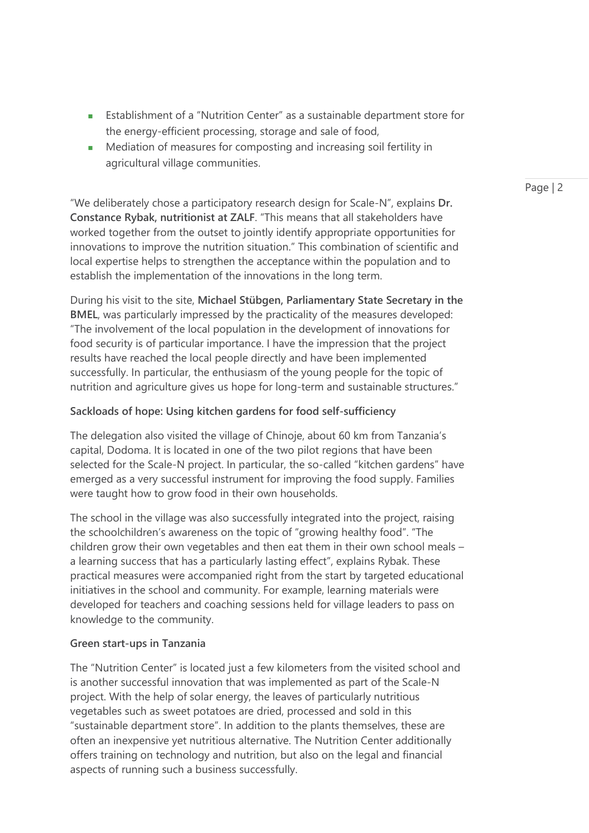- Establishment of a "Nutrition Center" as a sustainable department store for the energy-efficient processing, storage and sale of food,
- **Mediation of measures for composting and increasing soil fertility in** agricultural village communities.

"We deliberately chose a participatory research design for Scale-N", explains **Dr. Constance Rybak, nutritionist at ZALF**. "This means that all stakeholders have worked together from the outset to jointly identify appropriate opportunities for innovations to improve the nutrition situation." This combination of scientific and local expertise helps to strengthen the acceptance within the population and to establish the implementation of the innovations in the long term.

During his visit to the site, **Michael Stübgen, Parliamentary State Secretary in the BMEL**, was particularly impressed by the practicality of the measures developed: "The involvement of the local population in the development of innovations for food security is of particular importance. I have the impression that the project results have reached the local people directly and have been implemented successfully. In particular, the enthusiasm of the young people for the topic of nutrition and agriculture gives us hope for long-term and sustainable structures."

# **Sackloads of hope: Using kitchen gardens for food self-sufficiency**

The delegation also visited the village of Chinoje, about 60 km from Tanzania's capital, Dodoma. It is located in one of the two pilot regions that have been selected for the Scale-N project. In particular, the so-called "kitchen gardens" have emerged as a very successful instrument for improving the food supply. Families were taught how to grow food in their own households.

The school in the village was also successfully integrated into the project, raising the schoolchildren's awareness on the topic of "growing healthy food". "The children grow their own vegetables and then eat them in their own school meals – a learning success that has a particularly lasting effect", explains Rybak. These practical measures were accompanied right from the start by targeted educational initiatives in the school and community. For example, learning materials were developed for teachers and coaching sessions held for village leaders to pass on knowledge to the community.

#### **Green start-ups in Tanzania**

The "Nutrition Center" is located just a few kilometers from the visited school and is another successful innovation that was implemented as part of the Scale-N project. With the help of solar energy, the leaves of particularly nutritious vegetables such as sweet potatoes are dried, processed and sold in this "sustainable department store". In addition to the plants themselves, these are often an inexpensive yet nutritious alternative. The Nutrition Center additionally offers training on technology and nutrition, but also on the legal and financial aspects of running such a business successfully.

Page | 2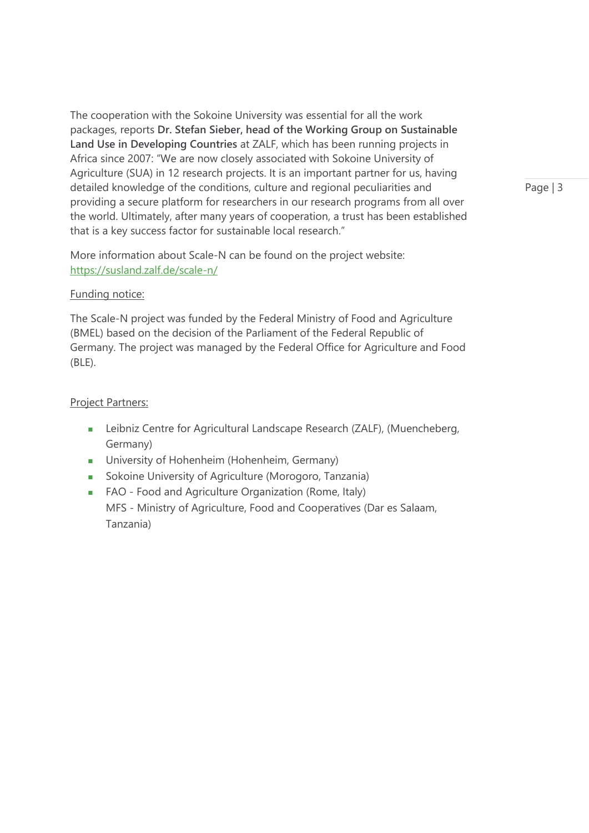The cooperation with the Sokoine University was essential for all the work packages, reports **Dr. Stefan Sieber, head of the Working Group on Sustainable Land Use in Developing Countries** at ZALF, which has been running projects in Africa since 2007: "We are now closely associated with Sokoine University of Agriculture (SUA) in 12 research projects. It is an important partner for us, having detailed knowledge of the conditions, culture and regional peculiarities and providing a secure platform for researchers in our research programs from all over the world. Ultimately, after many years of cooperation, a trust has been established that is a key success factor for sustainable local research."

More information about Scale-N can be found on the project website: <https://susland.zalf.de/scale-n/>

## Funding notice:

The Scale-N project was funded by the Federal Ministry of Food and Agriculture (BMEL) based on the decision of the Parliament of the Federal Republic of Germany. The project was managed by the Federal Office for Agriculture and Food (BLE).

## Project Partners:

- **EXECTEDFEE CENTER** Landscape Research (ZALF), (Muencheberg, Germany)
- **University of Hohenheim (Hohenheim, Germany)**
- **Sokoine University of Agriculture (Morogoro, Tanzania)**
- **FAO** Food and Agriculture Organization (Rome, Italy) MFS - Ministry of Agriculture, Food and Cooperatives (Dar es Salaam, Tanzania)

Page | 3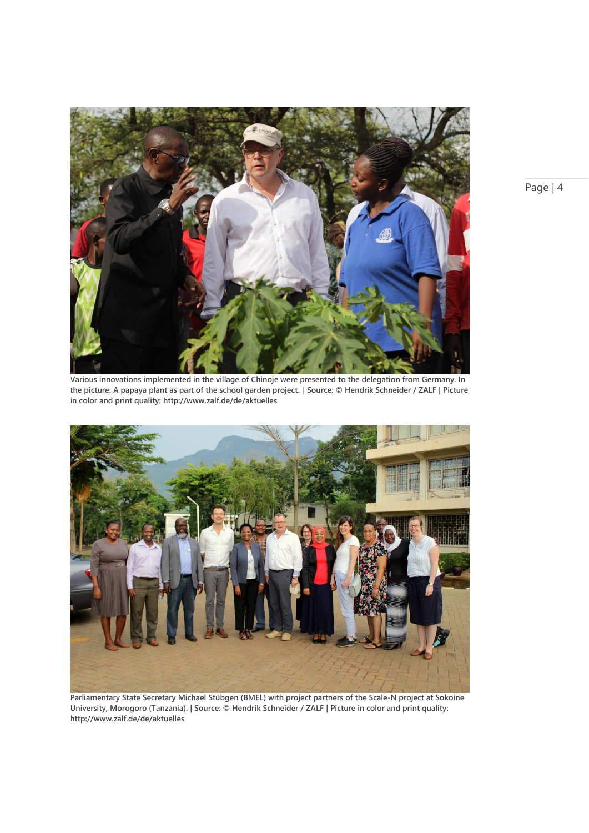

**Various innovations implemented in the village of Chinoje were presented to the delegation from Germany. In the picture: A papaya plant as part of the school garden project. | Source: © Hendrik Schneider / ZALF | Picture in color and print quality: [http://www.zalf.de/de/aktuelles](http://www.zalf.de/en/aktuelles/Pages/default.aspx)**



**Parliamentary State Secretary Michael Stübgen (BMEL) with project partners of the Scale-N project at Sokoine University, Morogoro (Tanzania). | Source: © Hendrik Schneider / ZALF | Picture in color and print quality: [http://www.zalf.de/de/aktuelles](http://www.zalf.de/en/aktuelles/Pages/default.aspx)**

Page | 4